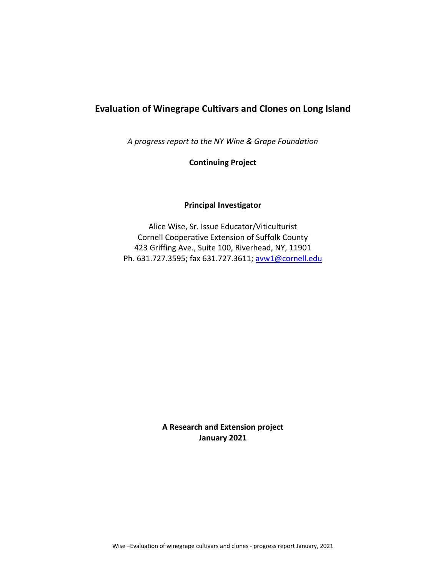# **Evaluation of Winegrape Cultivars and Clones on Long Island**

*A progress report to the NY Wine & Grape Foundation*

**Continuing Project**

### **Principal Investigator**

Alice Wise, Sr. Issue Educator/Viticulturist Cornell Cooperative Extension of Suffolk County 423 Griffing Ave., Suite 100, Riverhead, NY, 11901 Ph. 631.727.3595; fax 631.727.3611; [avw1@cornell.edu](mailto:avw1@cornell.edu)

> **A Research and Extension project January 2021**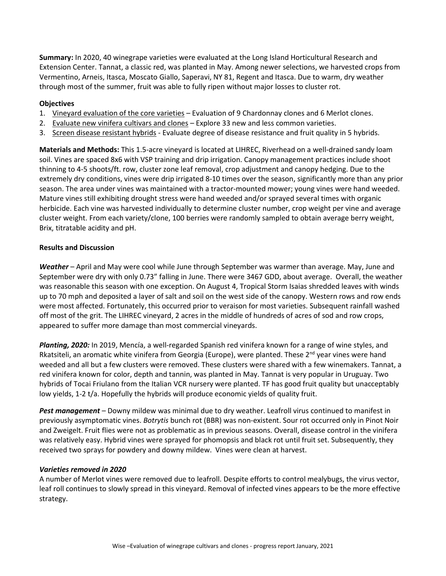**Summary:** In 2020, 40 winegrape varieties were evaluated at the Long Island Horticultural Research and Extension Center. Tannat, a classic red, was planted in May. Among newer selections, we harvested crops from Vermentino, Arneis, Itasca, Moscato Giallo, Saperavi, NY 81, Regent and Itasca. Due to warm, dry weather through most of the summer, fruit was able to fully ripen without major losses to cluster rot.

### **Objectives**

- 1. Vineyard evaluation of the core varieties Evaluation of 9 Chardonnay clones and 6 Merlot clones.
- 2. Evaluate new vinifera cultivars and clones Explore 33 new and less common varieties.
- 3. Screen disease resistant hybrids Evaluate degree of disease resistance and fruit quality in 5 hybrids.

**Materials and Methods:** This 1.5-acre vineyard is located at LIHREC, Riverhead on a well-drained sandy loam soil. Vines are spaced 8x6 with VSP training and drip irrigation. Canopy management practices include shoot thinning to 4-5 shoots/ft. row, cluster zone leaf removal, crop adjustment and canopy hedging. Due to the extremely dry conditions, vines were drip irrigated 8-10 times over the season, significantly more than any prior season. The area under vines was maintained with a tractor-mounted mower; young vines were hand weeded. Mature vines still exhibiting drought stress were hand weeded and/or sprayed several times with organic herbicide. Each vine was harvested individually to determine cluster number, crop weight per vine and average cluster weight. From each variety/clone, 100 berries were randomly sampled to obtain average berry weight, Brix, titratable acidity and pH.

#### **Results and Discussion**

*Weather* – April and May were cool while June through September was warmer than average. May, June and September were dry with only 0.73" falling in June. There were 3467 GDD, about average. Overall, the weather was reasonable this season with one exception. On August 4, Tropical Storm Isaias shredded leaves with winds up to 70 mph and deposited a layer of salt and soil on the west side of the canopy. Western rows and row ends were most affected. Fortunately, this occurred prior to veraison for most varieties. Subsequent rainfall washed off most of the grit. The LIHREC vineyard, 2 acres in the middle of hundreds of acres of sod and row crops, appeared to suffer more damage than most commercial vineyards.

*Planting, 2020:* In 2019, Mencía, a well-regarded Spanish red vinifera known for a range of wine styles, and Rkatsiteli, an aromatic white vinifera from Georgia (Europe), were planted. These  $2^{nd}$  year vines were hand weeded and all but a few clusters were removed. These clusters were shared with a few winemakers. Tannat, a red vinifera known for color, depth and tannin, was planted in May. Tannat is very popular in Uruguay. Two hybrids of Tocai Friulano from the Italian VCR nursery were planted. TF has good fruit quality but unacceptably low yields, 1-2 t/a. Hopefully the hybrids will produce economic yields of quality fruit.

*Pest management* – Downy mildew was minimal due to dry weather. Leafroll virus continued to manifest in previously asymptomatic vines. *Botrytis* bunch rot (BBR) was non-existent. Sour rot occurred only in Pinot Noir and Zweigelt. Fruit flies were not as problematic as in previous seasons. Overall, disease control in the vinifera was relatively easy. Hybrid vines were sprayed for phomopsis and black rot until fruit set. Subsequently, they received two sprays for powdery and downy mildew. Vines were clean at harvest.

### *Varieties removed in 2020*

A number of Merlot vines were removed due to leafroll. Despite efforts to control mealybugs, the virus vector, leaf roll continues to slowly spread in this vineyard. Removal of infected vines appears to be the more effective strategy.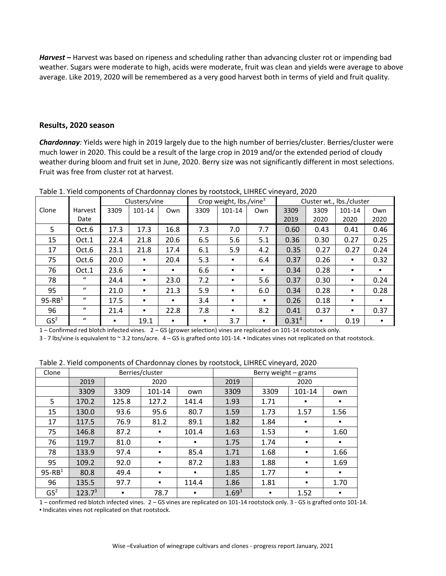*Harvest –* Harvest was based on ripeness and scheduling rather than advancing cluster rot or impending bad weather. Sugars were moderate to high, acids were moderate, fruit was clean and yields were average to above average. Like 2019, 2020 will be remembered as a very good harvest both in terms of yield and fruit quality.

#### **Results, 2020 season**

*Chardonnay:* Yields were high in 2019 largely due to the high number of berries/cluster. Berries/cluster were much lower in 2020. This could be a result of the large crop in 2019 and/or the extended period of cloudy weather during bloom and fruit set in June, 2020. Berry size was not significantly different in most selections. Fruit was free from cluster rot at harvest.

|                 |              | Clusters/vine |                |                | Crop weight, $\frac{1}{2}$ lbs./vine <sup>3</sup> |                |                | Cluster wt., lbs./cluster |      |                |                |
|-----------------|--------------|---------------|----------------|----------------|---------------------------------------------------|----------------|----------------|---------------------------|------|----------------|----------------|
| Clone           | Harvest      | 3309          | $101 - 14$     | Own            | 3309                                              | 101-14         | Own            | 3309                      | 3309 | 101-14         | Own            |
|                 | Date         |               |                |                |                                                   |                |                | 2019                      | 2020 | 2020           | 2020           |
| 5               | Oct.6        | 17.3          | 17.3           | 16.8           | 7.3                                               | 7.0            | 7.7            | 0.60                      | 0.43 | 0.41           | 0.46           |
| 15              | Oct.1        | 22.4          | 21.8           | 20.6           | 6.5                                               | 5.6            | 5.1            | 0.36                      | 0.30 | 0.27           | 0.25           |
| 17              | Oct.6        | 23.1          | 21.8           | 17.4           | 6.1                                               | 5.9            | 4.2            | 0.35                      | 0.27 | 0.27           | 0.24           |
| 75              | Oct.6        | 20.0          | $\blacksquare$ | 20.4           | 5.3                                               | ٠              | 6.4            | 0.37                      | 0.26 |                | 0.32           |
| 76              | Oct.1        | 23.6          | $\blacksquare$ | $\blacksquare$ | 6.6                                               | $\blacksquare$ | $\blacksquare$ | 0.34                      | 0.28 |                | $\blacksquare$ |
| 78              | $\mathbf{u}$ | 24.4          | п.             | 23.0           | 7.2                                               |                | 5.6            | 0.37                      | 0.30 | ٠              | 0.24           |
| 95              | $\mathbf{u}$ | 21.0          | $\blacksquare$ | 21.3           | 5.9                                               | $\blacksquare$ | 6.0            | 0.34                      | 0.28 | $\blacksquare$ | 0.28           |
| $95-RB1$        | $\mathbf{u}$ | 17.5          | $\blacksquare$ |                | 3.4                                               | $\blacksquare$ |                | 0.26                      | 0.18 |                |                |
| 96              | $\mathbf{u}$ | 21.4          | $\blacksquare$ | 22.8           | 7.8                                               |                | 8.2            | 0.41                      | 0.37 | ٠              | 0.37           |
| GS <sup>2</sup> | $\mathbf{u}$ | ٠             | 19.1           | $\blacksquare$ | п.                                                | 3.7            | ٠              | 0.31 <sup>4</sup>         | ٠    | 0.19           |                |

Table 1. Yield components of Chardonnay clones by rootstock, LIHREC vineyard, 2020

1 – Confirmed red blotch infected vines. 2 – GS (grower selection) vines are replicated on 101-14 rootstock only.

3 - 7 lbs/vine is equivalent to ~ 3.2 tons/acre. 4 – GS is grafted onto 101-14. ▪ Indicates vines not replicated on that rootstock.

| Table 2. Yield components of Chardonnay clones by rootstock, LIHREC vineyard, 2020 |  |  |  |
|------------------------------------------------------------------------------------|--|--|--|
|------------------------------------------------------------------------------------|--|--|--|

| Clone           |             |                | Berries/cluster |                | Berry weight – grams |                |                |                |  |
|-----------------|-------------|----------------|-----------------|----------------|----------------------|----------------|----------------|----------------|--|
|                 | 2019        | 2020           |                 |                | 2019                 | 2020           |                |                |  |
|                 | 3309        | 3309           | 101-14          | own            | 3309                 | 3309           | 101-14         | own            |  |
| 5               | 170.2       | 125.8          | 127.2           | 141.4          | 1.93                 | 1.71           | ٠              | ٠              |  |
| 15              | 130.0       | 93.6           | 95.6            | 80.7           | 1.59                 | 1.73           | 1.57           | 1.56           |  |
| 17              | 117.5       | 76.9           | 81.2            | 89.1           | 1.82                 | 1.84           | ٠              | ٠              |  |
| 75              | 146.8       | 87.2           | $\blacksquare$  | 101.4          | 1.63                 | 1.53           | ٠              | 1.60           |  |
| 76              | 119.7       | 81.0           | $\blacksquare$  |                | 1.75                 | 1.74           | п              | ٠              |  |
| 78              | 133.9       | 97.4           | $\blacksquare$  | 85.4           | 1.71                 | 1.68           | п              | 1.66           |  |
| 95              | 109.2       | 92.0           | $\blacksquare$  | 87.2           | 1.83                 | 1.88           | $\blacksquare$ | 1.69           |  |
| $95-RB1$        | 80.8        | 49.4           | $\blacksquare$  | $\blacksquare$ | 1.85                 | 1.77           | п              | $\blacksquare$ |  |
| 96              | 135.5       | 97.7           | $\blacksquare$  | 114.4          | 1.86                 | 1.81           | п              | 1.70           |  |
| GS <sup>2</sup> | $123.7^{3}$ | $\blacksquare$ | 78.7            | $\blacksquare$ | $1.69^{3}$           | $\blacksquare$ | 1.52           |                |  |

1 – confirmed red blotch infected vines. 2 – GS vines are replicated on 101-14 rootstock only. 3 - GS is grafted onto 101-14.

▪ Indicates vines not replicated on that rootstock.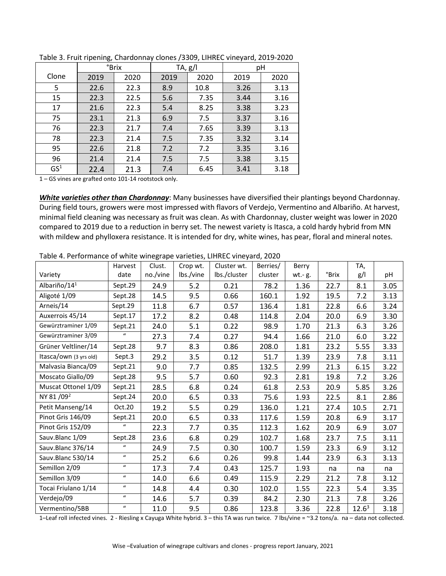|                 | <b>°Brix</b> |      | TA, g/I |      | pH   |      |  |
|-----------------|--------------|------|---------|------|------|------|--|
| Clone           | 2019         | 2020 | 2019    | 2020 | 2019 | 2020 |  |
| 5               | 22.6         | 22.3 | 8.9     | 10.8 | 3.26 | 3.13 |  |
| 15              | 22.3         | 22.5 | 5.6     | 7.35 | 3.44 | 3.16 |  |
| 17              | 21.6         | 22.3 | 5.4     | 8.25 | 3.38 | 3.23 |  |
| 75              | 23.1         | 21.3 | 6.9     | 7.5  | 3.37 | 3.16 |  |
| 76              | 22.3         | 21.7 | 7.4     | 7.65 | 3.39 | 3.13 |  |
| 78              | 22.3         | 21.4 | 7.5     | 7.35 | 3.32 | 3.14 |  |
| 95              | 22.6         | 21.8 | 7.2     | 7.2  | 3.35 | 3.16 |  |
| 96              | 21.4         | 21.4 | 7.5     | 7.5  | 3.38 | 3.15 |  |
| GS <sup>1</sup> | 22.4         | 21.3 | 7.4     | 6.45 | 3.41 | 3.18 |  |

Table 3. Fruit ripening, Chardonnay clones /3309, LIHREC vineyard, 2019-2020

1 – GS vines are grafted onto 101-14 rootstock only.

*White varieties other than Chardonnay*: Many businesses have diversified their plantings beyond Chardonnay. During field tours, growers were most impressed with flavors of Verdejo, Vermentino and Albariño. At harvest, minimal field cleaning was necessary as fruit was clean. As with Chardonnay, cluster weight was lower in 2020 compared to 2019 due to a reduction in berry set. The newest variety is Itasca, a cold hardy hybrid from MN with mildew and phylloxera resistance. It is intended for dry, white wines, has pear, floral and mineral notes.

|                          | Harvest          | Clust.   | Crop wt.  | Cluster wt.  | Berries/ | Berry  |              | TA,      |      |
|--------------------------|------------------|----------|-----------|--------------|----------|--------|--------------|----------|------|
| Variety                  | date             | no./vine | lbs./vine | lbs./cluster | cluster  | wt.-g. | <b>°Brix</b> | g/       | pH   |
| Albariño/14 <sup>1</sup> | Sept.29          | 24.9     | 5.2       | 0.21         | 78.2     | 1.36   | 22.7         | 8.1      | 3.05 |
| Aligoté 1/09             | Sept.28          | 14.5     | 9.5       | 0.66         | 160.1    | 1.92   | 19.5         | 7.2      | 3.13 |
| Arneis/14                | Sept.29          | 11.8     | 6.7       | 0.57         | 136.4    | 1.81   | 22.8         | 6.6      | 3.24 |
| Auxerrois 45/14          | Sept.17          | 17.2     | 8.2       | 0.48         | 114.8    | 2.04   | 20.0         | 6.9      | 3.30 |
| Gewürztraminer 1/09      | Sept.21          | 24.0     | 5.1       | 0.22         | 98.9     | 1.70   | 21.3         | 6.3      | 3.26 |
| Gewürztraminer 3/09      | $\bf{u}$         | 27.3     | 7.4       | 0.27         | 94.4     | 1.66   | 21.0         | 6.0      | 3.22 |
| Grüner Veltliner/14      | Sept.28          | 9.7      | 8.3       | 0.86         | 208.0    | 1.81   | 23.2         | 5.55     | 3.33 |
| Itasca/own (3 yrs old)   | Sept.3           | 29.2     | 3.5       | 0.12         | 51.7     | 1.39   | 23.9         | 7.8      | 3.11 |
| Malvasia Bianca/09       | Sept.21          | 9.0      | 7.7       | 0.85         | 132.5    | 2.99   | 21.3         | 6.15     | 3.22 |
| Moscato Giallo/09        | Sept.28          | 9.5      | 5.7       | 0.60         | 92.3     | 2.81   | 19.8         | 7.2      | 3.26 |
| Muscat Ottonel 1/09      | Sept.21          | 28.5     | 6.8       | 0.24         | 61.8     | 2.53   | 20.9         | 5.85     | 3.26 |
| NY 81/09 <sup>2</sup>    | Sept.24          | 20.0     | 6.5       | 0.33         | 75.6     | 1.93   | 22.5         | 8.1      | 2.86 |
| Petit Manseng/14         | Oct.20           | 19.2     | 5.5       | 0.29         | 136.0    | 1.21   | 27.4         | 10.5     | 2.71 |
| Pinot Gris 146/09        | Sept.21          | 20.0     | 6.5       | 0.33         | 117.6    | 1.59   | 20.8         | 6.9      | 3.17 |
| Pinot Gris 152/09        | $\mathbf{u}$     | 22.3     | 7.7       | 0.35         | 112.3    | 1.62   | 20.9         | 6.9      | 3.07 |
| Sauv.Blanc 1/09          | Sept.28          | 23.6     | 6.8       | 0.29         | 102.7    | 1.68   | 23.7         | 7.5      | 3.11 |
| Sauv.Blanc 376/14        | $\mathbf{u}$     | 24.9     | 7.5       | 0.30         | 100.7    | 1.59   | 23.3         | 6.9      | 3.12 |
| Sauv.Blanc 530/14        | $\boldsymbol{u}$ | 25.2     | 6.6       | 0.26         | 99.8     | 1.44   | 23.9         | 6.3      | 3.13 |
| Semillon 2/09            | $\boldsymbol{u}$ | 17.3     | 7.4       | 0.43         | 125.7    | 1.93   | na           | na       | na   |
| Semillon 3/09            | $\boldsymbol{u}$ | 14.0     | 6.6       | 0.49         | 115.9    | 2.29   | 21.2         | 7.8      | 3.12 |
| Tocai Friulano 1/14      | $\bf{u}$         | 14.8     | 4.4       | 0.30         | 102.0    | 1.55   | 22.3         | 5.4      | 3.35 |
| Verdejo/09               | $\bf{u}$         | 14.6     | 5.7       | 0.39         | 84.2     | 2.30   | 21.3         | 7.8      | 3.26 |
| Vermentino/5BB           | $\bf{u}$         | 11.0     | 9.5       | 0.86         | 123.8    | 3.36   | 22.8         | $12.6^3$ | 3.18 |

Table 4. Performance of white winegrape varieties, LIHREC vineyard, 2020

1–Leaf roll infected vines. 2 - Riesling x Cayuga White hybrid. 3 – this TA was run twice. 7 lbs/vine = ~3.2 tons/a. na – data not collected.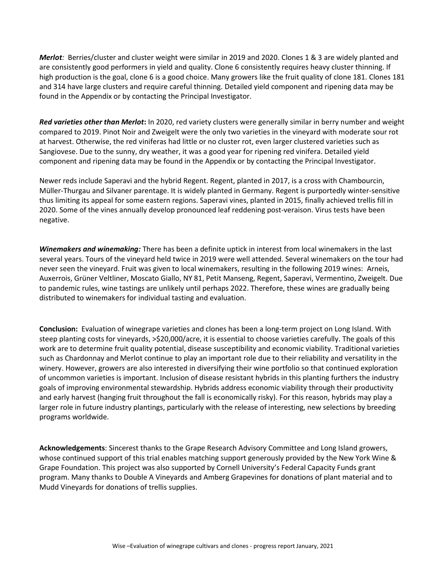*Merlot:* Berries/cluster and cluster weight were similar in 2019 and 2020. Clones 1 & 3 are widely planted and are consistently good performers in yield and quality. Clone 6 consistently requires heavy cluster thinning. If high production is the goal, clone 6 is a good choice. Many growers like the fruit quality of clone 181. Clones 181 and 314 have large clusters and require careful thinning. Detailed yield component and ripening data may be found in the Appendix or by contacting the Principal Investigator.

*Red varieties other than Merlot***:** In 2020, red variety clusters were generally similar in berry number and weight compared to 2019. Pinot Noir and Zweigelt were the only two varieties in the vineyard with moderate sour rot at harvest. Otherwise, the red viniferas had little or no cluster rot, even larger clustered varieties such as Sangiovese. Due to the sunny, dry weather, it was a good year for ripening red vinifera. Detailed yield component and ripening data may be found in the Appendix or by contacting the Principal Investigator.

Newer reds include Saperavi and the hybrid Regent. Regent, planted in 2017, is a cross with Chambourcin, Müller-Thurgau and Silvaner parentage. It is widely planted in Germany. Regent is purportedly winter-sensitive thus limiting its appeal for some eastern regions. Saperavi vines, planted in 2015, finally achieved trellis fill in 2020. Some of the vines annually develop pronounced leaf reddening post-veraison. Virus tests have been negative.

*Winemakers and winemaking:* There has been a definite uptick in interest from local winemakers in the last several years. Tours of the vineyard held twice in 2019 were well attended. Several winemakers on the tour had never seen the vineyard. Fruit was given to local winemakers, resulting in the following 2019 wines: Arneis, Auxerrois, Grüner Veltliner, Moscato Giallo, NY 81, Petit Manseng, Regent, Saperavi, Vermentino, Zweigelt. Due to pandemic rules, wine tastings are unlikely until perhaps 2022. Therefore, these wines are gradually being distributed to winemakers for individual tasting and evaluation.

**Conclusion:** Evaluation of winegrape varieties and clones has been a long-term project on Long Island. With steep planting costs for vineyards, >\$20,000/acre, it is essential to choose varieties carefully. The goals of this work are to determine fruit quality potential, disease susceptibility and economic viability. Traditional varieties such as Chardonnay and Merlot continue to play an important role due to their reliability and versatility in the winery. However, growers are also interested in diversifying their wine portfolio so that continued exploration of uncommon varieties is important. Inclusion of disease resistant hybrids in this planting furthers the industry goals of improving environmental stewardship. Hybrids address economic viability through their productivity and early harvest (hanging fruit throughout the fall is economically risky). For this reason, hybrids may play a larger role in future industry plantings, particularly with the release of interesting, new selections by breeding programs worldwide.

**Acknowledgements**: Sincerest thanks to the Grape Research Advisory Committee and Long Island growers, whose continued support of this trial enables matching support generously provided by the New York Wine & Grape Foundation. This project was also supported by Cornell University's Federal Capacity Funds grant program. Many thanks to Double A Vineyards and Amberg Grapevines for donations of plant material and to Mudd Vineyards for donations of trellis supplies.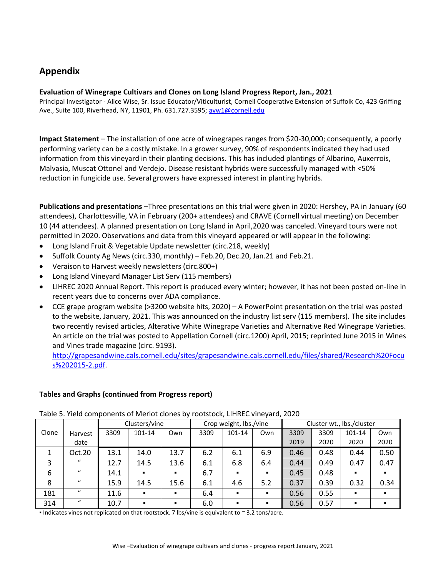# **Appendix**

## **Evaluation of Winegrape Cultivars and Clones on Long Island Progress Report, Jan., 2021**

Principal Investigator - Alice Wise, Sr. Issue Educator/Viticulturist, Cornell Cooperative Extension of Suffolk Co, 423 Griffing Ave., Suite 100, Riverhead, NY, 11901, Ph. 631.727.3595; [avw1@cornell.edu](mailto:avw1@cornell.edu)

**Impact Statement** – The installation of one acre of winegrapes ranges from \$20-30,000; consequently, a poorly performing variety can be a costly mistake. In a grower survey, 90% of respondents indicated they had used information from this vineyard in their planting decisions. This has included plantings of Albarino, Auxerrois, Malvasia, Muscat Ottonel and Verdejo. Disease resistant hybrids were successfully managed with <50% reduction in fungicide use. Several growers have expressed interest in planting hybrids.

**Publications and presentations** –Three presentations on this trial were given in 2020: Hershey, PA in January (60 attendees), Charlottesville, VA in February (200+ attendees) and CRAVE (Cornell virtual meeting) on December 10 (44 attendees). A planned presentation on Long Island in April,2020 was canceled. Vineyard tours were not permitted in 2020. Observations and data from this vineyard appeared or will appear in the following:

- Long Island Fruit & Vegetable Update newsletter (circ.218, weekly)
- Suffolk County Ag News (circ.330, monthly) Feb.20, Dec.20, Jan.21 and Feb.21.
- Veraison to Harvest weekly newsletters (circ.800+)
- Long Island Vineyard Manager List Serv (115 members)
- LIHREC 2020 Annual Report. This report is produced every winter; however, it has not been posted on-line in recent years due to concerns over ADA compliance.
- CCE grape program website (>3200 website hits, 2020) A PowerPoint presentation on the trial was posted to the website, January, 2021. This was announced on the industry list serv (115 members). The site includes two recently revised articles, Alterative White Winegrape Varieties and Alternative Red Winegrape Varieties. An article on the trial was posted to Appellation Cornell (circ.1200) April, 2015; reprinted June 2015 in Wines and Vines trade magazine (circ. 9193).

[http://grapesandwine.cals.cornell.edu/sites/grapesandwine.cals.cornell.edu/files/shared/Research%20Focu](http://grapesandwine.cals.cornell.edu/sites/grapesandwine.cals.cornell.edu/files/shared/Research%20Focus%202015-2.pdf) [s%202015-2.pdf.](http://grapesandwine.cals.cornell.edu/sites/grapesandwine.cals.cornell.edu/files/shared/Research%20Focus%202015-2.pdf)

### **Tables and Graphs (continued from Progress report)**

|       |              | Clusters/vine |                |                | Crop weight, lbs./vine |                |                | Cluster wt., lbs./cluster |      |                |      |
|-------|--------------|---------------|----------------|----------------|------------------------|----------------|----------------|---------------------------|------|----------------|------|
| Clone | Harvest      | 3309          | 101-14         | Own            | 3309                   | 101-14         | Own            | 3309                      | 3309 | 101-14         | Own  |
|       | date         |               |                |                |                        |                |                | 2019                      | 2020 | 2020           | 2020 |
|       | Oct.20       | 13.1          | 14.0           | 13.7           | 6.2                    | 6.1            | 6.9            | 0.46                      | 0.48 | 0.44           | 0.50 |
| 3     | $\mathbf{u}$ | 12.7          | 14.5           | 13.6           | 6.1                    | 6.8            | 6.4            | 0.44                      | 0.49 | 0.47           | 0.47 |
| 6     | $\mathbf{u}$ | 14.1          | $\blacksquare$ | $\blacksquare$ | 6.7                    | $\blacksquare$ | $\blacksquare$ | 0.45                      | 0.48 | $\blacksquare$ |      |
| 8     | $\mathbf{u}$ | 15.9          | 14.5           | 15.6           | 6.1                    | 4.6            | 5.2            | 0.37                      | 0.39 | 0.32           | 0.34 |
| 181   | $\mathbf{u}$ | 11.6          | $\blacksquare$ | $\blacksquare$ | 6.4                    | $\blacksquare$ | $\blacksquare$ | 0.56                      | 0.55 | $\blacksquare$ |      |
| 314   | $\iota$      | 10.7          | $\blacksquare$ | $\blacksquare$ | 6.0                    | $\blacksquare$ | $\blacksquare$ | 0.56                      | 0.57 | $\blacksquare$ |      |

Table 5. Yield components of Merlot clones by rootstock, LIHREC vineyard, 2020

▪ Indicates vines not replicated on that rootstock. 7 lbs/vine is equivalent to ~ 3.2 tons/acre.